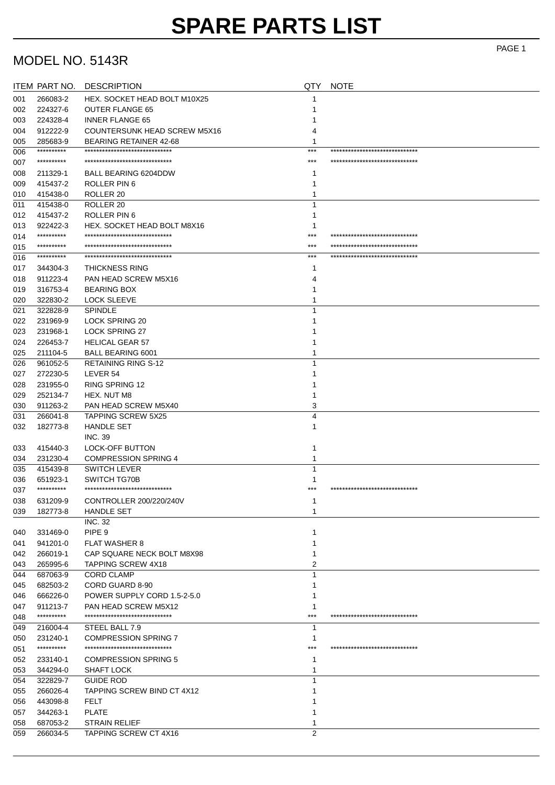### MODEL NO. 5143R

|            | <b>ITEM PART NO.</b>   | <b>DESCRIPTION</b>                                            | QTY            | <b>NOTE</b>                     |
|------------|------------------------|---------------------------------------------------------------|----------------|---------------------------------|
| 001        | 266083-2               | HEX. SOCKET HEAD BOLT M10X25                                  |                |                                 |
| 002        | 224327-6               | <b>OUTER FLANGE 65</b>                                        |                |                                 |
| 003        | 224328-4               | <b>INNER FLANGE 65</b>                                        |                |                                 |
| 004        | 912222-9               | <b>COUNTERSUNK HEAD SCREW M5X16</b>                           | 4              |                                 |
| 005        | 285683-9               | <b>BEARING RETAINER 42-68</b>                                 | 1              |                                 |
| 006        | **********             | ******************************                                | $***$          | ******************************* |
| 007        | **********             | *******************************                               | ***            | ******************************  |
| 008        | 211329-1               | <b>BALL BEARING 6204DDW</b>                                   |                |                                 |
| 009        | 415437-2               | ROLLER PIN 6                                                  |                |                                 |
| 010        | 415438-0               | ROLLER <sub>20</sub>                                          |                |                                 |
| 011        | 415438-0               | ROLLER <sub>20</sub>                                          |                |                                 |
| 012        | 415437-2               | ROLLER PIN 6                                                  |                |                                 |
| 013        | 922422-3               | HEX. SOCKET HEAD BOLT M8X16                                   |                |                                 |
| 014        | **********             | ******************************                                | ***            | ******************************  |
|            | **********             | *****************************                                 | ***            | *****************************   |
| 015<br>016 | **********             | ******************************                                | ***            | ******************************  |
|            |                        |                                                               |                |                                 |
| 017        | 344304-3               | <b>THICKNESS RING</b>                                         |                |                                 |
| 018        | 911223-4               | PAN HEAD SCREW M5X16                                          |                |                                 |
| 019        | 316753-4               | <b>BEARING BOX</b>                                            |                |                                 |
| 020        | 322830-2               | <b>LOCK SLEEVE</b>                                            |                |                                 |
| 021        | 322828-9               | <b>SPINDLE</b>                                                |                |                                 |
| 022        | 231969-9               | <b>LOCK SPRING 20</b>                                         |                |                                 |
| 023        | 231968-1               | <b>LOCK SPRING 27</b>                                         |                |                                 |
| 024        | 226453-7               | <b>HELICAL GEAR 57</b>                                        |                |                                 |
| 025        | 211104-5               | <b>BALL BEARING 6001</b>                                      |                |                                 |
| 026        | 961052-5               | <b>RETAINING RING S-12</b>                                    |                |                                 |
| 027        | 272230-5               | LEVER 54                                                      |                |                                 |
| 028        | 231955-0               | <b>RING SPRING 12</b>                                         |                |                                 |
| 029        | 252134-7               | HEX. NUT M8                                                   |                |                                 |
| 030        | 911263-2               | PAN HEAD SCREW M5X40                                          | 3              |                                 |
| 031        | 266041-8               | <b>TAPPING SCREW 5X25</b>                                     | 4              |                                 |
| 032        | 182773-8               | <b>HANDLE SET</b>                                             |                |                                 |
|            |                        | <b>INC. 39</b>                                                |                |                                 |
| 033        | 415440-3               | LOCK-OFF BUTTON                                               |                |                                 |
| 034        | 231230-4               | <b>COMPRESSION SPRING 4</b>                                   |                |                                 |
| 035        | 415439-8               | <b>SWITCH LEVER</b>                                           | 1              |                                 |
| 036        | 651923-1               | SWITCH TG70B                                                  |                |                                 |
| 037        | **********             | ******************************                                |                | *****************************   |
| 038        | 631209-9               | CONTROLLER 200/220/240V                                       |                |                                 |
| 039        | 182773-8               | <b>HANDLE SET</b>                                             |                |                                 |
|            |                        | <b>INC. 32</b>                                                |                |                                 |
| 040        | 331469-0               | PIPE <sub>9</sub>                                             |                |                                 |
| 041        | 941201-0               | <b>FLAT WASHER 8</b>                                          |                |                                 |
| 042        | 266019-1               | CAP SQUARE NECK BOLT M8X98                                    |                |                                 |
| 043        | 265995-6               | <b>TAPPING SCREW 4X18</b>                                     | 2              |                                 |
| 044        | 687063-9               | <b>CORD CLAMP</b>                                             |                |                                 |
| 045        | 682503-2               | CORD GUARD 8-90                                               |                |                                 |
| 046        | 666226-0               | POWER SUPPLY CORD 1.5-2-5.0                                   |                |                                 |
| 047        | 911213-7               | PAN HEAD SCREW M5X12                                          |                |                                 |
| 048        | **********             | ************************                                      | ***            | ******************************* |
| 049        | 216004-4               | STEEL BALL 7.9                                                | 1              |                                 |
|            |                        |                                                               |                |                                 |
| 050        | 231240-1<br>********** | <b>COMPRESSION SPRING 7</b><br>****************************** | ***            | ******************************* |
| 051        |                        |                                                               |                |                                 |
| 052        | 233140-1               | <b>COMPRESSION SPRING 5</b>                                   |                |                                 |
| 053        | 344294-0               | <b>SHAFT LOCK</b>                                             |                |                                 |
| 054        | 322829-7               | <b>GUIDE ROD</b>                                              |                |                                 |
| 055        | 266026-4               | TAPPING SCREW BIND CT 4X12                                    |                |                                 |
| 056        | 443098-8               | FELT                                                          |                |                                 |
| 057        | 344263-1               | <b>PLATE</b>                                                  |                |                                 |
| 058        | 687053-2               | <b>STRAIN RELIEF</b>                                          |                |                                 |
| 059        | 266034-5               | TAPPING SCREW CT 4X16                                         | $\overline{2}$ |                                 |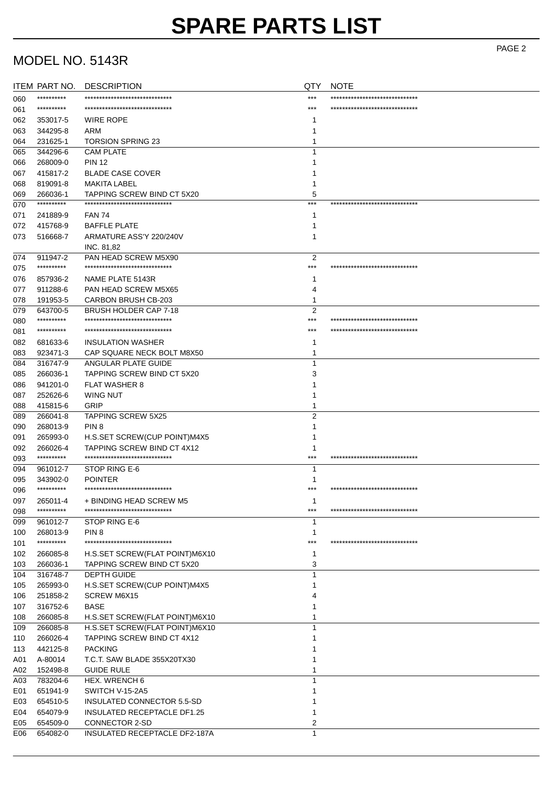## MODEL NO. 5143R

|     | ITEM PART NO. | <b>DESCRIPTION</b>                                            | QTY            | <b>NOTE</b>                     |
|-----|---------------|---------------------------------------------------------------|----------------|---------------------------------|
| 060 | **********    | *******************************                               | $***$          | ******************************  |
| 061 | **********    | ******************************                                | $***$          | ******************************* |
| 062 | 353017-5      | <b>WIRE ROPE</b>                                              | 1              |                                 |
| 063 | 344295-8      | ARM                                                           | 1              |                                 |
| 064 | 231625-1      | <b>TORSION SPRING 23</b>                                      | 1              |                                 |
| 065 | 344296-6      | <b>CAM PLATE</b>                                              | 1              |                                 |
|     |               | <b>PIN 12</b>                                                 |                |                                 |
| 066 | 268009-0      |                                                               |                |                                 |
| 067 | 415817-2      | <b>BLADE CASE COVER</b>                                       |                |                                 |
| 068 | 819091-8      | <b>MAKITA LABEL</b>                                           |                |                                 |
| 069 | 266036-1      | TAPPING SCREW BIND CT 5X20<br>******************************* | 5              |                                 |
| 070 | **********    |                                                               | $***$          | ******************************* |
| 071 | 241889-9      | <b>FAN 74</b>                                                 | 1              |                                 |
| 072 | 415768-9      | <b>BAFFLE PLATE</b>                                           | 1              |                                 |
| 073 | 516668-7      | ARMATURE ASS'Y 220/240V                                       | 1              |                                 |
|     |               | INC. 81,82                                                    |                |                                 |
| 074 | 911947-2      | PAN HEAD SCREW M5X90                                          | 2              |                                 |
| 075 | **********    | *******************************                               | $***$          | ******************************  |
| 076 | 857936-2      | NAME PLATE 5143R                                              |                |                                 |
| 077 | 911288-6      | PAN HEAD SCREW M5X65                                          | 4              |                                 |
| 078 | 191953-5      | <b>CARBON BRUSH CB-203</b>                                    | 1              |                                 |
| 079 | 643700-5      | BRUSH HOLDER CAP 7-18                                         | $\overline{2}$ |                                 |
| 080 | **********    | *******************************                               | ***            | ******************************  |
| 081 | **********    | ******************************                                | ***            | ******************************  |
| 082 | 681633-6      | <b>INSULATION WASHER</b>                                      | 1              |                                 |
| 083 | 923471-3      | CAP SQUARE NECK BOLT M8X50                                    | 1              |                                 |
|     |               |                                                               |                |                                 |
| 084 | 316747-9      | ANGULAR PLATE GUIDE                                           | 1              |                                 |
| 085 | 266036-1      | <b>TAPPING SCREW BIND CT 5X20</b>                             | 3              |                                 |
| 086 | 941201-0      | <b>FLAT WASHER 8</b>                                          |                |                                 |
| 087 | 252626-6      | WING NUT                                                      |                |                                 |
| 088 | 415815-6      | <b>GRIP</b>                                                   | 1              |                                 |
| 089 | 266041-8      | <b>TAPPING SCREW 5X25</b>                                     | $\overline{2}$ |                                 |
| 090 | 268013-9      | PIN <sub>8</sub>                                              |                |                                 |
| 091 | 265993-0      | H.S.SET SCREW(CUP POINT)M4X5                                  |                |                                 |
| 092 | 266026-4      | TAPPING SCREW BIND CT 4X12                                    | 1              |                                 |
| 093 | **********    | ******************************                                | $***$          | ******************************  |
| 094 | 961012-7      | STOP RING E-6                                                 | 1              |                                 |
| 095 | 343902-0      | <b>POINTER</b>                                                | 1              |                                 |
| 096 | **********    | ******************************                                | ***            | ******************************  |
| 097 | 265011-4      | + BINDING HEAD SCREW M5                                       |                |                                 |
| 098 | **********    | *******************************                               | ***            | ******************************  |
| 099 | 961012-7      | STOP RING E-6                                                 | 1              |                                 |
| 100 | 268013-9      | PIN <sub>8</sub>                                              | 1              |                                 |
| 101 | **********    | ******************************                                | $***$          | ******************************* |
| 102 | 266085-8      | H.S.SET SCREW(FLAT POINT)M6X10                                | 1              |                                 |
| 103 | 266036-1      | TAPPING SCREW BIND CT 5X20                                    | 3              |                                 |
|     |               |                                                               | 1              |                                 |
| 104 | 316748-7      | <b>DEPTH GUIDE</b>                                            |                |                                 |
| 105 | 265993-0      | H.S.SET SCREW(CUP POINT)M4X5                                  |                |                                 |
| 106 | 251858-2      | SCREW M6X15                                                   |                |                                 |
| 107 | 316752-6      | <b>BASE</b>                                                   |                |                                 |
| 108 | 266085-8      | H.S.SET SCREW(FLAT POINT)M6X10                                |                |                                 |
| 109 | 266085-8      | H.S.SET SCREW(FLAT POINT)M6X10                                | 1              |                                 |
| 110 | 266026-4      | TAPPING SCREW BIND CT 4X12                                    |                |                                 |
| 113 | 442125-8      | <b>PACKING</b>                                                |                |                                 |
| A01 | A-80014       | T.C.T. SAW BLADE 355X20TX30                                   |                |                                 |
| A02 | 152498-8      | <b>GUIDE RULE</b>                                             |                |                                 |
| A03 | 783204-6      | HEX. WRENCH 6                                                 | 1              |                                 |
| E01 | 651941-9      | SWITCH V-15-2A5                                               |                |                                 |
| E03 | 654510-5      | INSULATED CONNECTOR 5.5-SD                                    |                |                                 |
| E04 | 654079-9      | INSULATED RECEPTACLE DF1.25                                   |                |                                 |
| E05 | 654509-0      | <b>CONNECTOR 2-SD</b>                                         | 2              |                                 |
| E06 | 654082-0      | INSULATED RECEPTACLE DF2-187A                                 | $\mathbf{1}$   |                                 |
|     |               |                                                               |                |                                 |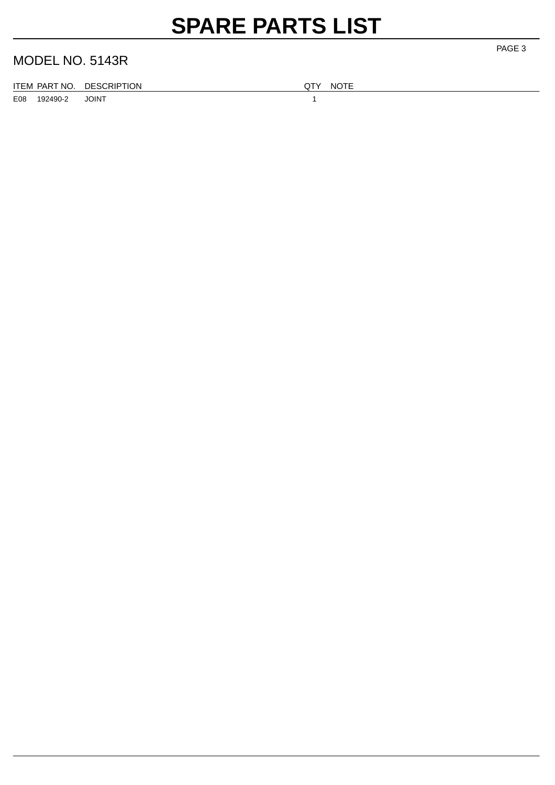# **SPARE PARTS LIST**

#### MODEL NO. 5143R

|  | ITEM PART NO. DESCRIPTION |
|--|---------------------------|
|  |                           |

E08 192490-2 JOINT 1

QTY NOTE

PAGE 3